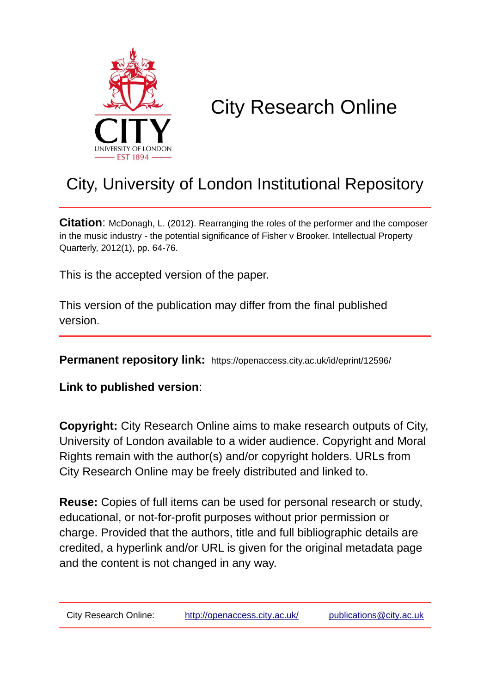

# City Research Online

## City, University of London Institutional Repository

**Citation**: McDonagh, L. (2012). Rearranging the roles of the performer and the composer in the music industry - the potential significance of Fisher v Brooker. Intellectual Property Quarterly, 2012(1), pp. 64-76.

This is the accepted version of the paper.

This version of the publication may differ from the final published version.

**Permanent repository link:** https://openaccess.city.ac.uk/id/eprint/12596/

**Link to published version**:

**Copyright:** City Research Online aims to make research outputs of City, University of London available to a wider audience. Copyright and Moral Rights remain with the author(s) and/or copyright holders. URLs from City Research Online may be freely distributed and linked to.

**Reuse:** Copies of full items can be used for personal research or study, educational, or not-for-profit purposes without prior permission or charge. Provided that the authors, title and full bibliographic details are credited, a hyperlink and/or URL is given for the original metadata page and the content is not changed in any way.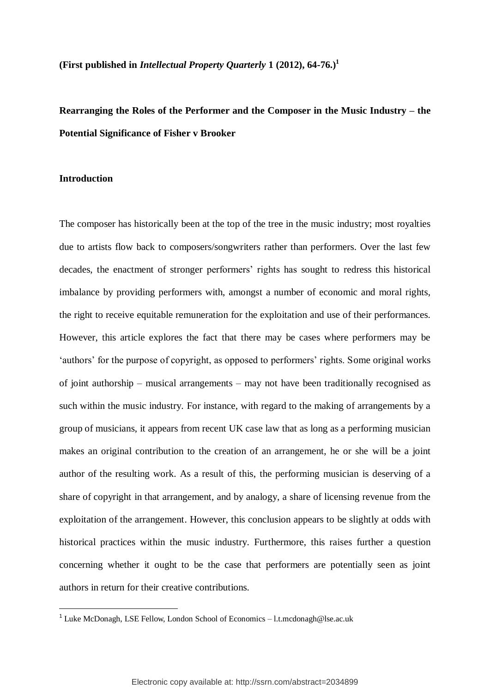**(First published in** *Intellectual Property Quarterly* **1 (2012), 64-76.) 1**

**Rearranging the Roles of the Performer and the Composer in the Music Industry – the Potential Significance of Fisher v Brooker**

### **Introduction**

**.** 

The composer has historically been at the top of the tree in the music industry; most royalties due to artists flow back to composers/songwriters rather than performers. Over the last few decades, the enactment of stronger performers" rights has sought to redress this historical imbalance by providing performers with, amongst a number of economic and moral rights, the right to receive equitable remuneration for the exploitation and use of their performances. However, this article explores the fact that there may be cases where performers may be 'authors' for the purpose of copyright, as opposed to performers' rights. Some original works of joint authorship – musical arrangements – may not have been traditionally recognised as such within the music industry. For instance, with regard to the making of arrangements by a group of musicians, it appears from recent UK case law that as long as a performing musician makes an original contribution to the creation of an arrangement, he or she will be a joint author of the resulting work. As a result of this, the performing musician is deserving of a share of copyright in that arrangement, and by analogy, a share of licensing revenue from the exploitation of the arrangement. However, this conclusion appears to be slightly at odds with historical practices within the music industry. Furthermore, this raises further a question concerning whether it ought to be the case that performers are potentially seen as joint authors in return for their creative contributions.

<sup>&</sup>lt;sup>1</sup> Luke McDonagh, LSE Fellow, London School of Economics - l.t.mcdonagh@lse.ac.uk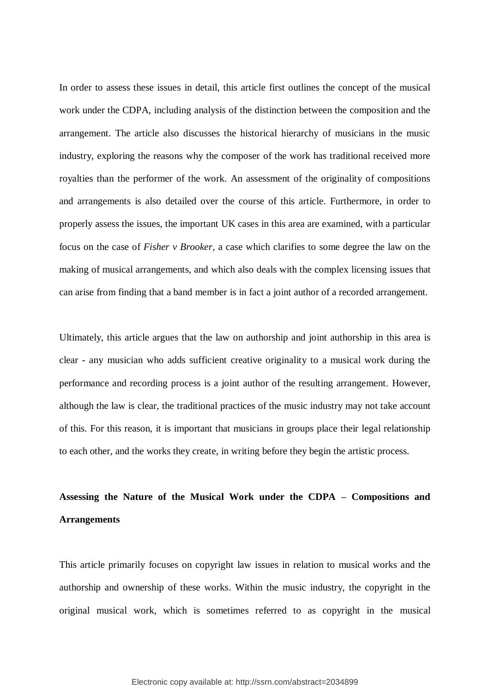In order to assess these issues in detail, this article first outlines the concept of the musical work under the CDPA, including analysis of the distinction between the composition and the arrangement. The article also discusses the historical hierarchy of musicians in the music industry, exploring the reasons why the composer of the work has traditional received more royalties than the performer of the work. An assessment of the originality of compositions and arrangements is also detailed over the course of this article. Furthermore, in order to properly assess the issues, the important UK cases in this area are examined, with a particular focus on the case of *Fisher v Brooker,* a case which clarifies to some degree the law on the making of musical arrangements, and which also deals with the complex licensing issues that can arise from finding that a band member is in fact a joint author of a recorded arrangement.

Ultimately, this article argues that the law on authorship and joint authorship in this area is clear - any musician who adds sufficient creative originality to a musical work during the performance and recording process is a joint author of the resulting arrangement. However, although the law is clear, the traditional practices of the music industry may not take account of this. For this reason, it is important that musicians in groups place their legal relationship to each other, and the works they create, in writing before they begin the artistic process.

### **Assessing the Nature of the Musical Work under the CDPA – Compositions and Arrangements**

This article primarily focuses on copyright law issues in relation to musical works and the authorship and ownership of these works. Within the music industry, the copyright in the original musical work, which is sometimes referred to as copyright in the musical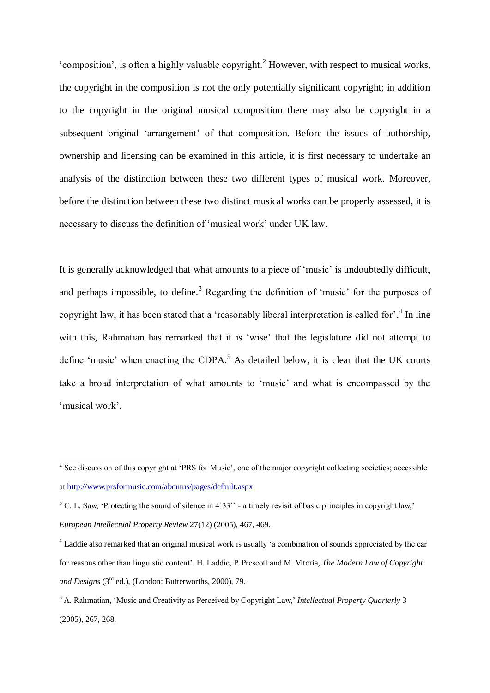"composition", is often a highly valuable copyright.<sup>2</sup> However, with respect to musical works, the copyright in the composition is not the only potentially significant copyright; in addition to the copyright in the original musical composition there may also be copyright in a subsequent original "arrangement" of that composition. Before the issues of authorship, ownership and licensing can be examined in this article, it is first necessary to undertake an analysis of the distinction between these two different types of musical work. Moreover, before the distinction between these two distinct musical works can be properly assessed, it is necessary to discuss the definition of "musical work" under UK law.

It is generally acknowledged that what amounts to a piece of "music" is undoubtedly difficult, and perhaps impossible, to define.<sup>3</sup> Regarding the definition of 'music' for the purposes of copyright law, it has been stated that a 'reasonably liberal interpretation is called for'.<sup>4</sup> In line with this, Rahmatian has remarked that it is 'wise' that the legislature did not attempt to define 'music' when enacting the CDPA.<sup>5</sup> As detailed below, it is clear that the UK courts take a broad interpretation of what amounts to "music" and what is encompassed by the 'musical work'.

<sup>&</sup>lt;sup>2</sup> See discussion of this copyright at 'PRS for Music', one of the major copyright collecting societies; accessible a[t http://www.prsformusic.com/aboutus/pages/default.aspx](http://www.prsformusic.com/aboutus/pages/default.aspx)

 $3$  C. L. Saw, 'Protecting the sound of silence in 4`33`` - a timely revisit of basic principles in copyright law,' *European Intellectual Property Review* 27(12) (2005), 467, 469.

<sup>&</sup>lt;sup>4</sup> Laddie also remarked that an original musical work is usually 'a combination of sounds appreciated by the ear for reasons other than linguistic content". H. Laddie, P. Prescott and M. Vitoria, *The Modern Law of Copyright and Designs* (3rd ed.), (London: Butterworths, 2000), 79.

<sup>5</sup> A. Rahmatian, "Music and Creativity as Perceived by Copyright Law," *Intellectual Property Quarterly* 3 (2005), 267, 268.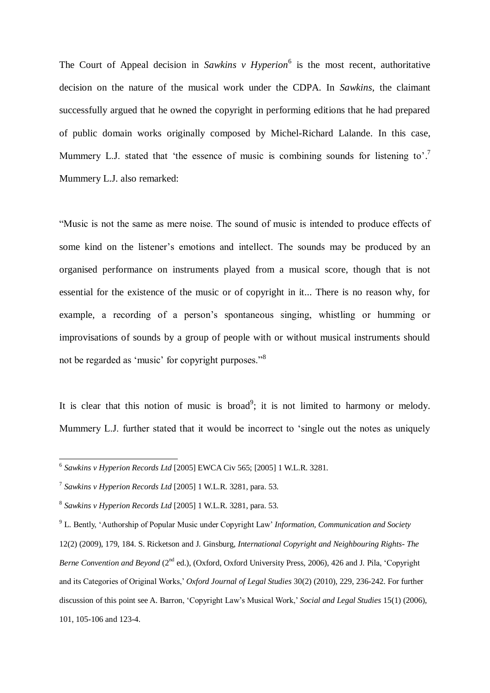The Court of Appeal decision in *Sawkins v Hyperion*<sup>6</sup> is the most recent, authoritative decision on the nature of the musical work under the CDPA. In *Sawkins*, the claimant successfully argued that he owned the copyright in performing editions that he had prepared of public domain works originally composed by Michel-Richard Lalande. In this case, Mummery L.J. stated that 'the essence of music is combining sounds for listening to'.<sup>7</sup> Mummery L.J. also remarked:

"Music is not the same as mere noise. The sound of music is intended to produce effects of some kind on the listener's emotions and intellect. The sounds may be produced by an organised performance on instruments played from a musical score, though that is not essential for the existence of the music or of copyright in it... There is no reason why, for example, a recording of a person's spontaneous singing, whistling or humming or improvisations of sounds by a group of people with or without musical instruments should not be regarded as "music" for copyright purposes."<sup>8</sup>

It is clear that this notion of music is broad<sup>9</sup>; it is not limited to harmony or melody. Mummery L.J. further stated that it would be incorrect to "single out the notes as uniquely

 6 *Sawkins v Hyperion Records Ltd* [2005] EWCA Civ 565; [2005] 1 W.L.R. 3281.

<sup>7</sup> *Sawkins v Hyperion Records Ltd* [2005] 1 W.L.R. 3281, para. 53.

<sup>8</sup> *Sawkins v Hyperion Records Ltd* [2005] 1 W.L.R. 3281, para. 53.

<sup>9</sup> L. Bently, "Authorship of Popular Music under Copyright Law" *Information, Communication and Society* 

<sup>12(2) (2009), 179, 184.</sup> S. Ricketson and J. Ginsburg, *International Copyright and Neighbouring Rights- The Berne Convention and Beyond* (2<sup>nd</sup> ed.), (Oxford, Oxford University Press, 2006), 426 and J. Pila, 'Copyright and its Categories of Original Works," *Oxford Journal of Legal Studies* 30(2) (2010), 229, 236-242. For further discussion of this point see A. Barron, "Copyright Law"s Musical Work," *Social and Legal Studies* 15(1) (2006), 101, 105-106 and 123-4.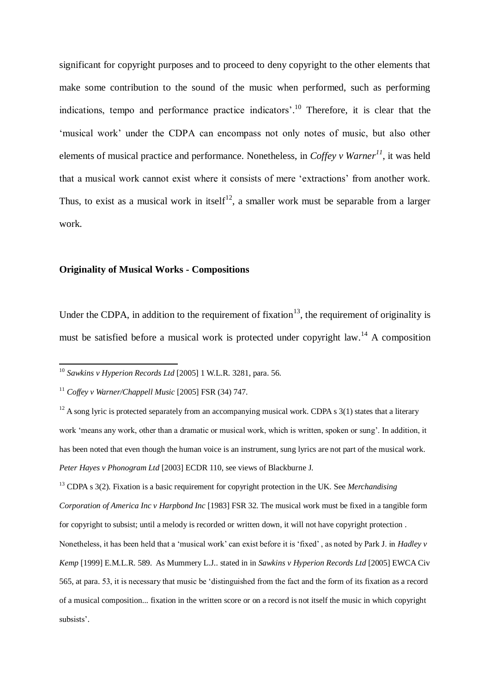significant for copyright purposes and to proceed to deny copyright to the other elements that make some contribution to the sound of the music when performed, such as performing indications, tempo and performance practice indicators'.<sup>10</sup> Therefore, it is clear that the 'musical work' under the CDPA can encompass not only notes of music, but also other elements of musical practice and performance. Nonetheless, in *Coffey v Warner<sup>11</sup>*, it was held that a musical work cannot exist where it consists of mere "extractions" from another work. Thus, to exist as a musical work in itself<sup>12</sup>, a smaller work must be separable from a larger work.

### **Originality of Musical Works - Compositions**

Under the CDPA, in addition to the requirement of fixation<sup>13</sup>, the requirement of originality is must be satisfied before a musical work is protected under copyright law.<sup>14</sup> A composition

<sup>10</sup> *Sawkins v Hyperion Records Ltd* [2005] 1 W.L.R. 3281, para. 56.

<sup>11</sup> *Coffey v Warner/Chappell Music* [2005] FSR (34) 747.

1

 $12$  A song lyric is protected separately from an accompanying musical work. CDPA s 3(1) states that a literary work "means any work, other than a dramatic or musical work, which is written, spoken or sung". In addition, it has been noted that even though the human voice is an instrument, sung lyrics are not part of the musical work. *Peter Hayes v Phonogram Ltd* [2003] ECDR 110, see views of Blackburne J.

<sup>13</sup> CDPA s 3(2). Fixation is a basic requirement for copyright protection in the UK. See *Merchandising Corporation of America Inc v Harpbond Inc* [1983] FSR 32. The musical work must be fixed in a tangible form for copyright to subsist; until a melody is recorded or written down, it will not have copyright protection . Nonetheless, it has been held that a "musical work" can exist before it is "fixed" , as noted by Park J. in *Hadley v Kemp* [1999] E.M.L.R. 589. As Mummery L.J.. stated in in *Sawkins v Hyperion Records Ltd* [2005] EWCA Civ 565, at para. 53, it is necessary that music be "distinguished from the fact and the form of its fixation as a record of a musical composition... fixation in the written score or on a record is not itself the music in which copyright subsists'.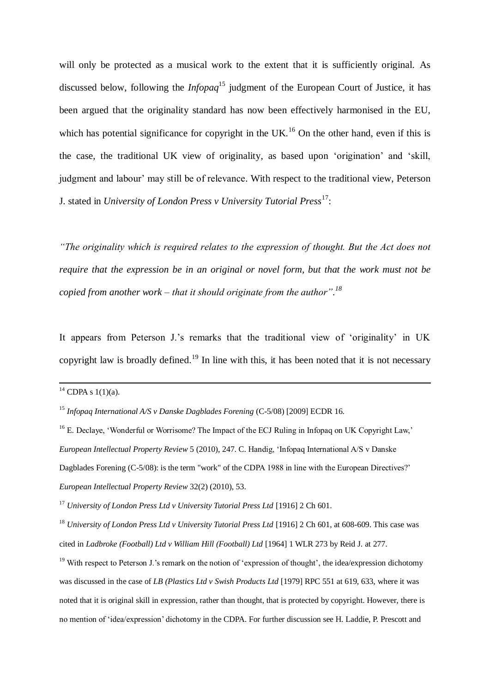will only be protected as a musical work to the extent that it is sufficiently original. As discussed below, following the *Infopaq*<sup>15</sup> judgment of the European Court of Justice, it has been argued that the originality standard has now been effectively harmonised in the EU, which has potential significance for copyright in the UK.<sup>16</sup> On the other hand, even if this is the case, the traditional UK view of originality, as based upon "origination" and "skill, judgment and labour' may still be of relevance. With respect to the traditional view, Peterson J. stated in *University of London Press v University Tutorial Press*<sup>17</sup>:

*"The originality which is required relates to the expression of thought. But the Act does not require that the expression be in an original or novel form, but that the work must not be copied from another work – that it should originate from the author". 18*

It appears from Peterson J.'s remarks that the traditional view of 'originality' in UK copyright law is broadly defined.<sup>19</sup> In line with this, it has been noted that it is not necessary

-

 $14$  CDPA s 1(1)(a).

<sup>&</sup>lt;sup>15</sup> *Infopaq International A/S v Danske Dagblades Forening (C-5/08)* [2009] ECDR 16.

<sup>&</sup>lt;sup>16</sup> E. Declave, 'Wonderful or Worrisome? The Impact of the ECJ Ruling in Infopaq on UK Copyright Law,' *European Intellectual Property Review* 5 (2010), 247. C. Handig, "Infopaq International A/S v Danske Dagblades Forening (C-5/08): is the term "work" of the CDPA 1988 in line with the European Directives?" *European Intellectual Property Review* 32(2) (2010), 53.

<sup>17</sup> *University of London Press Ltd v University Tutorial Press Ltd* [1916] 2 Ch 601.

<sup>18</sup> *University of London Press Ltd v University Tutorial Press Ltd* [1916] 2 Ch 601, at 608-609. This case was cited in *Ladbroke (Football) Ltd v William Hill (Football) Ltd* [1964] 1 WLR 273 by Reid J. at 277.

<sup>&</sup>lt;sup>19</sup> With respect to Peterson J.'s remark on the notion of 'expression of thought', the idea/expression dichotomy was discussed in the case of *LB (Plastics Ltd v Swish Products Ltd* [1979] RPC 551 at 619, 633, where it was noted that it is original skill in expression, rather than thought, that is protected by copyright. However, there is no mention of "idea/expression" dichotomy in the CDPA. For further discussion see H. Laddie, P. Prescott and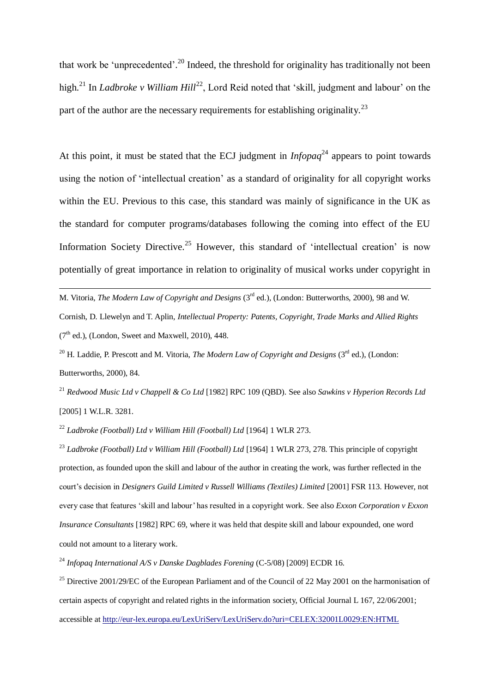that work be 'unprecedented'.<sup>20</sup> Indeed, the threshold for originality has traditionally not been high.<sup>21</sup> In *Ladbroke v William Hill*<sup>22</sup>, Lord Reid noted that 'skill, judgment and labour' on the part of the author are the necessary requirements for establishing originality.<sup>23</sup>

At this point, it must be stated that the ECJ judgment in  $Infopaq^{24}$  appears to point towards using the notion of "intellectual creation" as a standard of originality for all copyright works within the EU. Previous to this case, this standard was mainly of significance in the UK as the standard for computer programs/databases following the coming into effect of the EU Information Society Directive.<sup>25</sup> However, this standard of 'intellectual creation' is now potentially of great importance in relation to originality of musical works under copyright in

M. Vitoria, *The Modern Law of Copyright and Designs* (3rd ed.), (London: Butterworths, 2000), 98 and W. Cornish, D. Llewelyn and T. Aplin, *Intellectual Property: Patents, Copyright, Trade Marks and Allied Rights*   $(7<sup>th</sup>$  ed.), (London, Sweet and Maxwell, 2010), 448.

<sup>20</sup> H. Laddie, P. Prescott and M. Vitoria, *The Modern Law of Copyright and Designs* (3<sup>rd</sup> ed.), (London: Butterworths, 2000), 84.

<sup>21</sup> *Redwood Music Ltd v Chappell & Co Ltd* [1982] RPC 109 (QBD). See also *Sawkins v Hyperion Records Ltd*  [2005] 1 W.L.R. 3281.

<sup>22</sup> *Ladbroke (Football) Ltd v William Hill (Football) Ltd* [1964] 1 WLR 273.

**.** 

<sup>23</sup> *Ladbroke (Football) Ltd v William Hill (Football) Ltd* [1964] 1 WLR 273, 278. This principle of copyright protection, as founded upon the skill and labour of the author in creating the work, was further reflected in the court"s decision in *Designers Guild Limited v Russell Williams (Textiles) Limited* [2001] FSR 113. However, not every case that features "skill and labour" has resulted in a copyright work. See also *Exxon Corporation v Exxon Insurance Consultants* [1982] RPC 69, where it was held that despite skill and labour expounded, one word could not amount to a literary work.

<sup>24</sup> *Infopag International A/S v Danske Dagblades Forening (C-5/08)* [2009] ECDR 16.

<sup>25</sup> Directive 2001/29/EC of the European Parliament and of the Council of 22 May 2001 on the harmonisation of certain aspects of copyright and related rights in the information society, Official Journal L 167, 22/06/2001; accessible a[t http://eur-lex.europa.eu/LexUriServ/LexUriServ.do?uri=CELEX:32001L0029:EN:HTML](http://eur-lex.europa.eu/LexUriServ/LexUriServ.do?uri=CELEX:32001L0029:EN:HTML)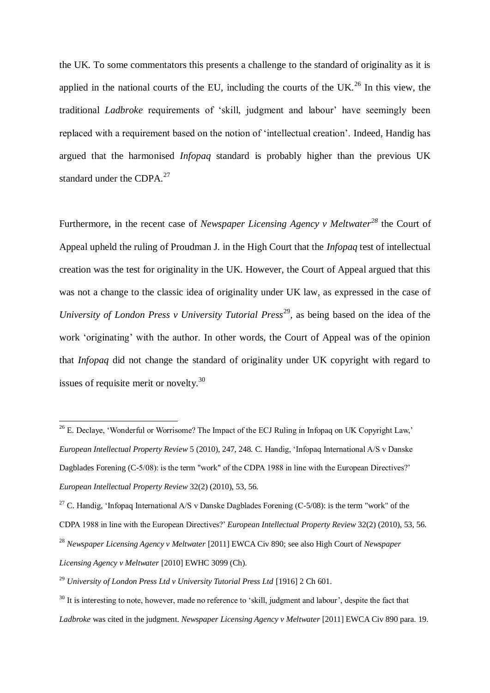the UK. To some commentators this presents a challenge to the standard of originality as it is applied in the national courts of the EU, including the courts of the UK.<sup>26</sup> In this view, the traditional *Ladbroke* requirements of "skill, judgment and labour" have seemingly been replaced with a requirement based on the notion of "intellectual creation". Indeed, Handig has argued that the harmonised *Infopaq* standard is probably higher than the previous UK standard under the CDPA.<sup>27</sup>

Furthermore, in the recent case of *Newspaper Licensing Agency v Meltwater<sup>28</sup>* the Court of Appeal upheld the ruling of Proudman J. in the High Court that the *Infopaq* test of intellectual creation was the test for originality in the UK. However, the Court of Appeal argued that this was not a change to the classic idea of originality under UK law, as expressed in the case of *University of London Press v University Tutorial Press*<sup>29</sup>, as being based on the idea of the work "originating" with the author. In other words, the Court of Appeal was of the opinion that *Infopaq* did not change the standard of originality under UK copyright with regard to issues of requisite merit or novelty. $30$ 

-

 $^{26}$  E. Declaye, 'Wonderful or Worrisome? The Impact of the ECJ Ruling in Infopaq on UK Copyright Law,' *European Intellectual Property Review* 5 (2010), 247, 248. C. Handig, "Infopaq International A/S v Danske Dagblades Forening (C-5/08): is the term "work" of the CDPA 1988 in line with the European Directives?" *European Intellectual Property Review* 32(2) (2010), 53, 56.

<sup>&</sup>lt;sup>27</sup> C. Handig, 'Infopaq International A/S v Danske Dagblades Forening (C-5/08): is the term "work" of the CDPA 1988 in line with the European Directives?" *European Intellectual Property Review* 32(2) (2010), 53, 56. <sup>28</sup> *Newspaper Licensing Agency v Meltwater* [2011] EWCA Civ 890; see also High Court of *Newspaper Licensing Agency v Meltwater* [2010] EWHC 3099 (Ch).

<sup>29</sup> *University of London Press Ltd v University Tutorial Press Ltd* [1916] 2 Ch 601.

 $30$  It is interesting to note, however, made no reference to 'skill, judgment and labour', despite the fact that *Ladbroke* was cited in the judgment. *Newspaper Licensing Agency v Meltwater* [2011] EWCA Civ 890 para. 19.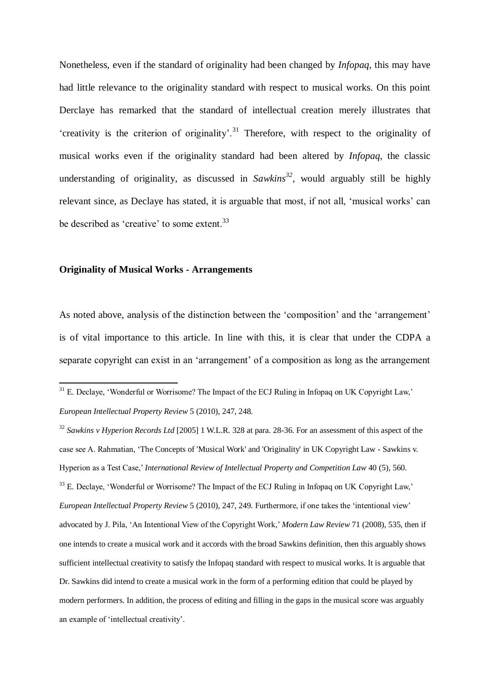Nonetheless, even if the standard of originality had been changed by *Infopaq*, this may have had little relevance to the originality standard with respect to musical works. On this point Derclaye has remarked that the standard of intellectual creation merely illustrates that 'creativity is the criterion of originality'.<sup>31</sup> Therefore, with respect to the originality of musical works even if the originality standard had been altered by *Infopaq*, the classic understanding of originality, as discussed in *Sawkins <sup>32</sup>*, would arguably still be highly relevant since, as Declaye has stated, it is arguable that most, if not all, "musical works" can be described as 'creative' to some extent.<sup>33</sup>

### **Originality of Musical Works - Arrangements**

-

As noted above, analysis of the distinction between the 'composition' and the 'arrangement' is of vital importance to this article. In line with this, it is clear that under the CDPA a separate copyright can exist in an "arrangement" of a composition as long as the arrangement

 $31$  E. Declaye, 'Wonderful or Worrisome? The Impact of the ECJ Ruling in Infopaq on UK Copyright Law,' *European Intellectual Property Review* 5 (2010), 247, 248.

<sup>32</sup> *Sawkins v Hyperion Records Ltd* [2005] 1 W.L.R. 328 at para. 28-36. For an assessment of this aspect of the case see A. Rahmatian, "The Concepts of 'Musical Work' and 'Originality' in UK Copyright Law - Sawkins v. Hyperion as a Test Case," *International Review of Intellectual Property and Competition Law* 40 (5), 560. <sup>33</sup> E. Declave, 'Wonderful or Worrisome? The Impact of the ECJ Ruling in Infopaq on UK Copyright Law,' *European Intellectual Property Review* 5 (2010), 247, 249. Furthermore, if one takes the "intentional view" advocated by J. Pila, "An Intentional View of the Copyright Work," *Modern Law Review* 71 (2008), 535, then if one intends to create a musical work and it accords with the broad Sawkins definition, then this arguably shows sufficient intellectual creativity to satisfy the Infopaq standard with respect to musical works. It is arguable that Dr. Sawkins did intend to create a musical work in the form of a performing edition that could be played by modern performers. In addition, the process of editing and filling in the gaps in the musical score was arguably an example of "intellectual creativity".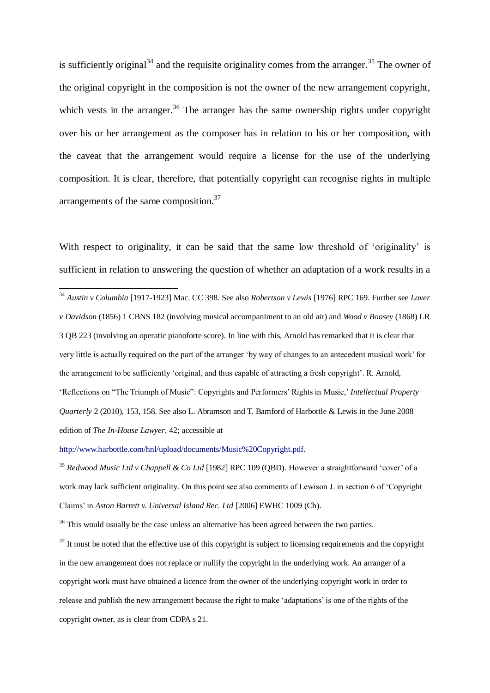is sufficiently original<sup>34</sup> and the requisite originality comes from the arranger.<sup>35</sup> The owner of the original copyright in the composition is not the owner of the new arrangement copyright, which vests in the arranger.<sup>36</sup> The arranger has the same ownership rights under copyright over his or her arrangement as the composer has in relation to his or her composition, with the caveat that the arrangement would require a license for the use of the underlying composition. It is clear, therefore, that potentially copyright can recognise rights in multiple arrangements of the same composition.<sup>37</sup>

With respect to originality, it can be said that the same low threshold of 'originality' is sufficient in relation to answering the question of whether an adaptation of a work results in a

<sup>34</sup> *Austin v Columbia* [1917-1923] Mac. CC 398. See also *Robertson v Lewis* [1976] RPC 169. Further see *Lover v Davidson* (1856) 1 CBNS 182 (involving musical accompaniment to an old air) and *Wood v Boosey* (1868) LR 3 QB 223 (involving an operatic pianoforte score). In line with this, Arnold has remarked that it is clear that very little is actually required on the part of the arranger "by way of changes to an antecedent musical work" for the arrangement to be sufficiently "original, and thus capable of attracting a fresh copyright". R. Arnold, "Reflections on "The Triumph of Music": Copyrights and Performers" Rights in Music," *Intellectual Property Quarterly* 2 (2010), 153, 158. See also L. Abramson and T. Bamford of Harbottle & Lewis in the June 2008 edition of *The In-House Lawyer*, 42; accessible at

[http://www.harbottle.com/hnl/upload/documents/Music%20Copyright.pdf.](http://www.harbottle.com/hnl/upload/documents/Music%20Copyright.pdf)

**.** 

<sup>35</sup> *Redwood Music Ltd v Chappell & Co Ltd* [1982] RPC 109 (QBD). However a straightforward "cover" of a work may lack sufficient originality*.* On this point see also comments of Lewison J. in section 6 of "Copyright Claims" in *Aston Barrett v. Universal Island Rec. Ltd* [2006] EWHC 1009 (Ch).

<sup>36</sup> This would usually be the case unless an alternative has been agreed between the two parties.

 $37$  It must be noted that the effective use of this copyright is subject to licensing requirements and the copyright in the new arrangement does not replace or nullify the copyright in the underlying work. An arranger of a copyright work must have obtained a licence from the owner of the underlying copyright work in order to release and publish the new arrangement because the right to make "adaptations" is one of the rights of the copyright owner, as is clear from CDPA s 21.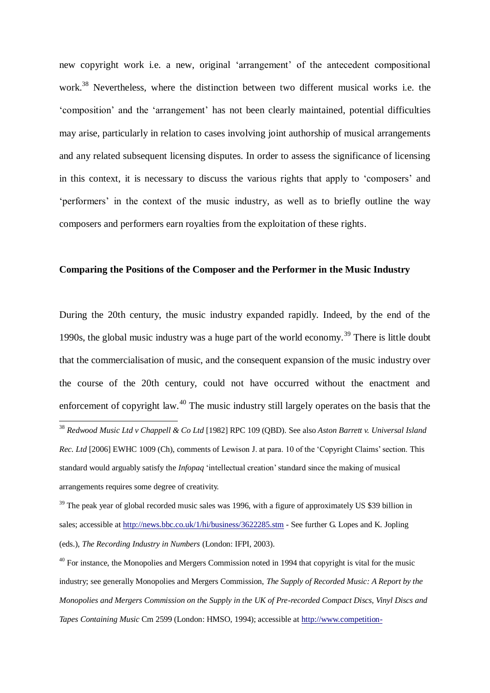new copyright work i.e. a new, original "arrangement" of the antecedent compositional work. <sup>38</sup> Nevertheless, where the distinction between two different musical works i.e. the "composition" and the "arrangement" has not been clearly maintained, potential difficulties may arise, particularly in relation to cases involving joint authorship of musical arrangements and any related subsequent licensing disputes. In order to assess the significance of licensing in this context, it is necessary to discuss the various rights that apply to "composers" and "performers" in the context of the music industry, as well as to briefly outline the way composers and performers earn royalties from the exploitation of these rights.

### **Comparing the Positions of the Composer and the Performer in the Music Industry**

During the 20th century, the music industry expanded rapidly. Indeed, by the end of the 1990s, the global music industry was a huge part of the world economy.<sup>39</sup> There is little doubt that the commercialisation of music, and the consequent expansion of the music industry over the course of the 20th century, could not have occurred without the enactment and enforcement of copyright law.<sup>40</sup> The music industry still largely operates on the basis that the

-

<sup>38</sup> *Redwood Music Ltd v Chappell & Co Ltd* [1982] RPC 109 (QBD). See also *Aston Barrett v. Universal Island Rec. Ltd* [2006] EWHC 1009 (Ch), comments of Lewison J. at para. 10 of the 'Copyright Claims' section. This standard would arguably satisfy the *Infopaq* "intellectual creation" standard since the making of musical arrangements requires some degree of creativity.

<sup>&</sup>lt;sup>39</sup> The peak year of global recorded music sales was 1996, with a figure of approximately US \$39 billion in sales; accessible a[t http://news.bbc.co.uk/1/hi/business/3622285.stm](http://news.bbc.co.uk/1/hi/business/3622285.stm) - See further G. Lopes and K. Jopling (eds.), *The Recording Industry in Numbers* (London: IFPI, 2003).

 $40$  For instance, the Monopolies and Mergers Commission noted in 1994 that copyright is vital for the music industry; see generally Monopolies and Mergers Commission, *The Supply of Recorded Music: A Report by the Monopolies and Mergers Commission on the Supply in the UK of Pre-recorded Compact Discs, Vinyl Discs and Tapes Containing Music* Cm 2599 (London: HMSO, 1994); accessible at [http://www.competition-](http://www.competition-commission.org.uk/rep_pub/reports/1994/356recordedmusic.htm#full)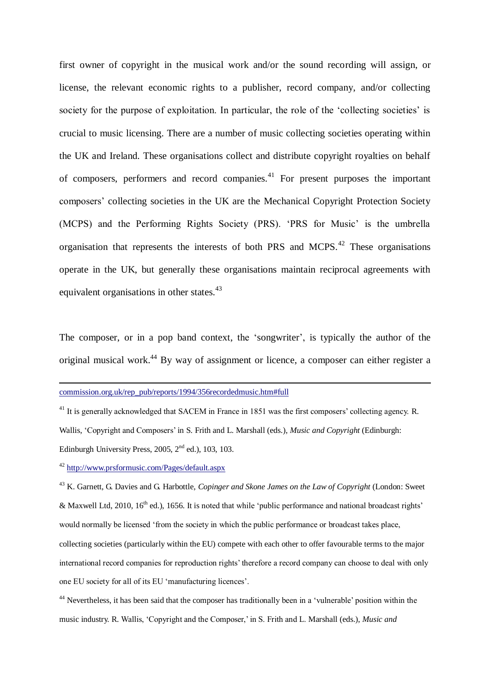first owner of copyright in the musical work and/or the sound recording will assign, or license, the relevant economic rights to a publisher, record company, and/or collecting society for the purpose of exploitation. In particular, the role of the 'collecting societies' is crucial to music licensing. There are a number of music collecting societies operating within the UK and Ireland. These organisations collect and distribute copyright royalties on behalf of composers, performers and record companies.<sup>41</sup> For present purposes the important composers" collecting societies in the UK are the Mechanical Copyright Protection Society (MCPS) and the Performing Rights Society (PRS). "PRS for Music" is the umbrella organisation that represents the interests of both PRS and MCPS.<sup>42</sup> These organisations operate in the UK, but generally these organisations maintain reciprocal agreements with equivalent organisations in other states.<sup>43</sup>

The composer, or in a pop band context, the 'songwriter', is typically the author of the original musical work.<sup>44</sup> By way of assignment or licence, a composer can either register a

<sup>42</sup> <http://www.prsformusic.com/Pages/default.aspx>

-

<sup>43</sup> K. Garnett, G. Davies and G. Harbottle, *Copinger and Skone James on the Law of Copyright* (London: Sweet & Maxwell Ltd, 2010,  $16^{th}$  ed.), 1656. It is noted that while 'public performance and national broadcast rights' would normally be licensed "from the society in which the public performance or broadcast takes place, collecting societies (particularly within the EU) compete with each other to offer favourable terms to the major international record companies for reproduction rights' therefore a record company can choose to deal with only one EU society for all of its EU "manufacturing licences".

<sup>44</sup> Nevertheless, it has been said that the composer has traditionally been in a 'vulnerable' position within the music industry. R. Wallis, "Copyright and the Composer," in S. Frith and L. Marshall (eds.), *Music and* 

commission.org.uk/rep\_pub/reports/1994/356recordedmusic.htm#full

<sup>&</sup>lt;sup>41</sup> It is generally acknowledged that SACEM in France in 1851 was the first composers' collecting agency. R. Wallis, "Copyright and Composers" in S. Frith and L. Marshall (eds.), *Music and Copyright* (Edinburgh: Edinburgh University Press, 2005,  $2<sup>nd</sup>$  ed.), 103, 103.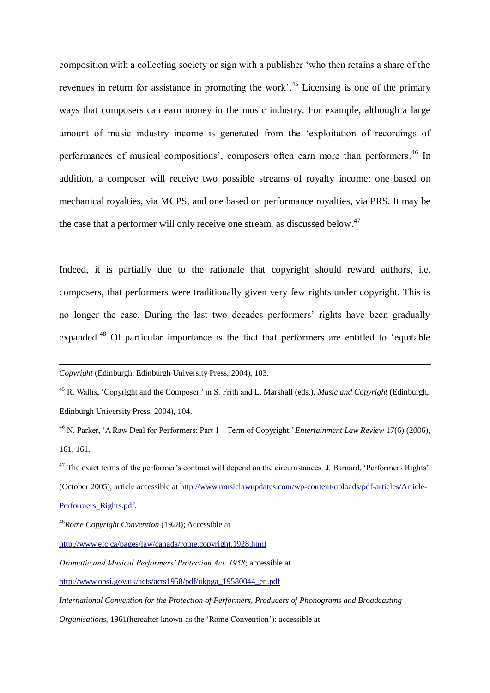composition with a collecting society or sign with a publisher "who then retains a share of the revenues in return for assistance in promoting the work'.<sup>45</sup> Licensing is one of the primary ways that composers can earn money in the music industry. For example, although a large amount of music industry income is generated from the "exploitation of recordings of performances of musical compositions', composers often earn more than performers.<sup>46</sup> In addition, a composer will receive two possible streams of royalty income; one based on mechanical royalties, via MCPS, and one based on performance royalties, via PRS. It may be the case that a performer will only receive one stream, as discussed below.<sup>47</sup>

Indeed, it is partially due to the rationale that copyright should reward authors, i.e. composers, that performers were traditionally given very few rights under copyright. This is no longer the case. During the last two decades performers' rights have been gradually expanded.<sup>48</sup> Of particular importance is the fact that performers are entitled to "equitable

[Performers\\_Rights.pdf](https://exchange.lse.ac.uk/exchweb/bin/redir.asp?URL=http://www.musiclawupdates.com/wp-content/uploads/pdf-articles/Article-Performers_Rights.pdf)*.*

1

*Copyright* (Edinburgh, Edinburgh University Press, 2004), 103.

<sup>45</sup> R. Wallis, "Copyright and the Composer," in S. Frith and L. Marshall (eds.), *Music and Copyright* (Edinburgh, Edinburgh University Press, 2004), 104.

<sup>&</sup>lt;sup>46</sup> N. Parker, 'A Raw Deal for Performers: Part 1 – Term of Copyright,' *Entertainment Law Review* 17(6) (2006), 161, 161.

<sup>&</sup>lt;sup>47</sup> The exact terms of the performer's contract will depend on the circumstances. J. Barnard, 'Performers Rights' (October 2005); article accessible at [http://www.musiclawupdates.com/wp-content/uploads/pdf-articles/Article-](https://exchange.lse.ac.uk/exchweb/bin/redir.asp?URL=http://www.musiclawupdates.com/wp-content/uploads/pdf-articles/Article-Performers_Rights.pdf)

<sup>48</sup>*Rome Copyright Convention* (1928); Accessible at

<http://www.efc.ca/pages/law/canada/rome.copyright.1928.html>

*Dramatic and Musical Performers' Protection Act, 1958*; accessible at

[http://www.opsi.gov.uk/acts/acts1958/pdf/ukpga\\_19580044\\_en.pdf](http://www.opsi.gov.uk/acts/acts1958/pdf/ukpga_19580044_en.pdf)

*International Convention for the Protection of Performers, Producers of Phonograms and Broadcasting* 

*Organisations*, 1961 (hereafter known as the 'Rome Convention'); accessible at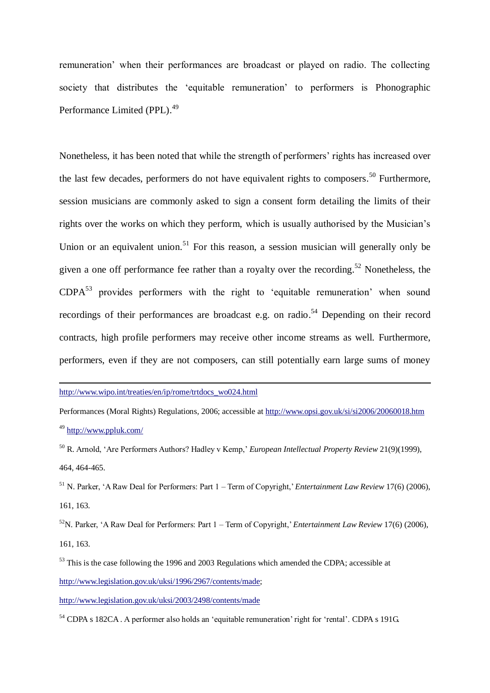remuneration" when their performances are broadcast or played on radio. The collecting society that distributes the 'equitable remuneration' to performers is Phonographic Performance Limited (PPL).<sup>49</sup>

Nonetheless, it has been noted that while the strength of performers' rights has increased over the last few decades, performers do not have equivalent rights to composers.<sup>50</sup> Furthermore, session musicians are commonly asked to sign a consent form detailing the limits of their rights over the works on which they perform, which is usually authorised by the Musician"s Union or an equivalent union.<sup>51</sup> For this reason, a session musician will generally only be given a one off performance fee rather than a royalty over the recording.<sup>52</sup> Nonetheless, the  $CDPA<sup>53</sup>$  provides performers with the right to 'equitable remuneration' when sound recordings of their performances are broadcast e.g. on radio.<sup>54</sup> Depending on their record contracts, high profile performers may receive other income streams as well. Furthermore, performers, even if they are not composers, can still potentially earn large sums of money

[http://www.wipo.int/treaties/en/ip/rome/trtdocs\\_wo024.html](http://www.wipo.int/treaties/en/ip/rome/trtdocs_wo024.html)

-

Performances (Moral Rights) Regulations*,* 2006; accessible a[t http://www.opsi.gov.uk/si/si2006/20060018.htm](http://www.opsi.gov.uk/si/si2006/20060018.htm) <sup>49</sup> <http://www.ppluk.com/>

<sup>50</sup> R. Arnold, "Are Performers Authors? Hadley v Kemp," *European Intellectual Property Review* 21(9)(1999), 464, 464-465.

<sup>51</sup> N. Parker, "A Raw Deal for Performers: Part 1 – Term of Copyright," *Entertainment Law Review* 17(6) (2006), 161, 163.

<sup>52</sup>N. Parker, 'A Raw Deal for Performers: Part 1 – Term of Copyright,' *Entertainment Law Review* 17(6) (2006), 161, 163.

<sup>53</sup> This is the case following the 1996 and 2003 Regulations which amended the CDPA; accessible at [http://www.legislation.gov.uk/uksi/1996/2967/contents/made;](http://www.legislation.gov.uk/uksi/1996/2967/contents/made)

<http://www.legislation.gov.uk/uksi/2003/2498/contents/made>

<sup>54</sup> CDPA s 182CA. A performer also holds an 'equitable remuneration' right for 'rental'. CDPA s 191G.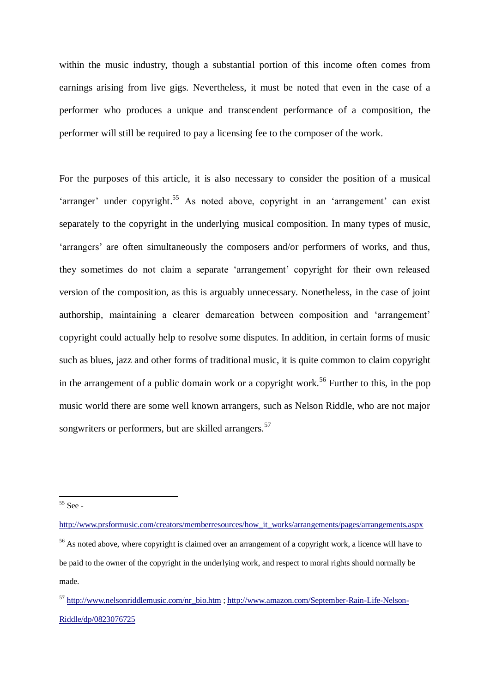within the music industry, though a substantial portion of this income often comes from earnings arising from live gigs. Nevertheless, it must be noted that even in the case of a performer who produces a unique and transcendent performance of a composition, the performer will still be required to pay a licensing fee to the composer of the work.

For the purposes of this article, it is also necessary to consider the position of a musical 'arranger' under copyright.<sup>55</sup> As noted above, copyright in an 'arrangement' can exist separately to the copyright in the underlying musical composition. In many types of music, 'arrangers' are often simultaneously the composers and/or performers of works, and thus, they sometimes do not claim a separate "arrangement" copyright for their own released version of the composition, as this is arguably unnecessary. Nonetheless, in the case of joint authorship, maintaining a clearer demarcation between composition and "arrangement" copyright could actually help to resolve some disputes. In addition, in certain forms of music such as blues, jazz and other forms of traditional music, it is quite common to claim copyright in the arrangement of a public domain work or a copyright work.<sup>56</sup> Further to this, in the pop music world there are some well known arrangers, such as Nelson Riddle, who are not major songwriters or performers, but are skilled arrangers.<sup>57</sup>

**<sup>.</sup>**  $55$  See -

[http://www.prsformusic.com/creators/memberresources/how\\_it\\_works/arrangements/pages/arrangements.aspx](https://exchange.lse.ac.uk/exchweb/bin/redir.asp?URL=http://www.prsformusic.com/creators/memberresources/how_it_works/arrangements/pages/arrangements.aspx) <sup>56</sup> As noted above, where copyright is claimed over an arrangement of a copyright work, a licence will have to be paid to the owner of the copyright in the underlying work, and respect to moral rights should normally be made.

<sup>57</sup> [http://www.nelsonriddlemusic.com/nr\\_bio.htm](http://www.nelsonriddlemusic.com/nr_bio.htm) [; http://www.amazon.com/September-Rain-Life-Nelson-](http://www.amazon.com/September-Rain-Life-Nelson-Riddle/dp/0823076725)[Riddle/dp/0823076725](http://www.amazon.com/September-Rain-Life-Nelson-Riddle/dp/0823076725)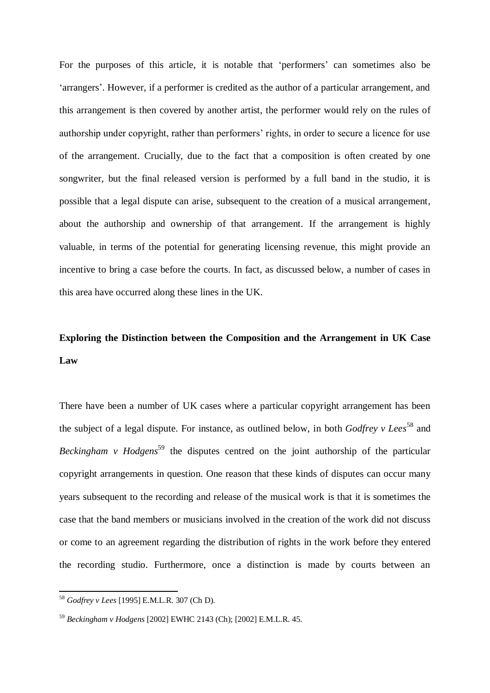For the purposes of this article, it is notable that 'performers' can sometimes also be "arrangers". However, if a performer is credited as the author of a particular arrangement, and this arrangement is then covered by another artist, the performer would rely on the rules of authorship under copyright, rather than performers' rights, in order to secure a licence for use of the arrangement. Crucially, due to the fact that a composition is often created by one songwriter, but the final released version is performed by a full band in the studio, it is possible that a legal dispute can arise, subsequent to the creation of a musical arrangement, about the authorship and ownership of that arrangement. If the arrangement is highly valuable, in terms of the potential for generating licensing revenue, this might provide an incentive to bring a case before the courts. In fact, as discussed below, a number of cases in this area have occurred along these lines in the UK.

### **Exploring the Distinction between the Composition and the Arrangement in UK Case Law**

There have been a number of UK cases where a particular copyright arrangement has been the subject of a legal dispute. For instance, as outlined below, in both *Godfrey v Lees*<sup>58</sup> and *Beckingham v Hodgens*<sup>59</sup> the disputes centred on the joint authorship of the particular copyright arrangements in question. One reason that these kinds of disputes can occur many years subsequent to the recording and release of the musical work is that it is sometimes the case that the band members or musicians involved in the creation of the work did not discuss or come to an agreement regarding the distribution of rights in the work before they entered the recording studio. Furthermore, once a distinction is made by courts between an

-

<sup>58</sup> *Godfrey v Lees* [1995] E.M.L.R. 307 (Ch D).

<sup>59</sup> *Beckingham v Hodgens* [2002] EWHC 2143 (Ch); [2002] E.M.L.R. 45.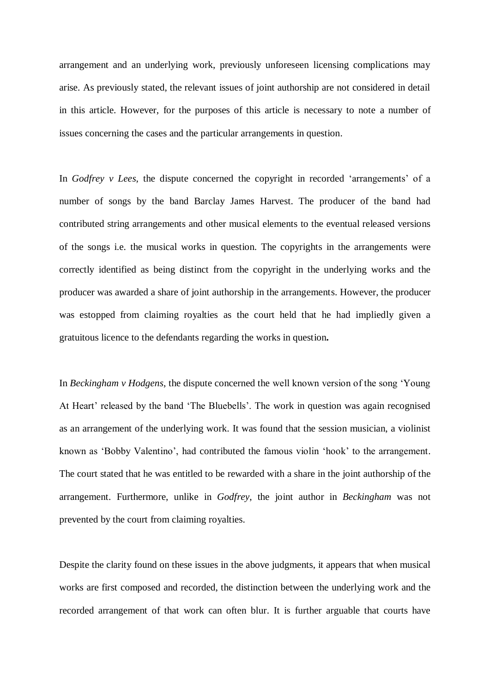arrangement and an underlying work, previously unforeseen licensing complications may arise. As previously stated, the relevant issues of joint authorship are not considered in detail in this article. However, for the purposes of this article is necessary to note a number of issues concerning the cases and the particular arrangements in question.

In *Godfrey v Lees*, the dispute concerned the copyright in recorded 'arrangements' of a number of songs by the band Barclay James Harvest. The producer of the band had contributed string arrangements and other musical elements to the eventual released versions of the songs i.e. the musical works in question. The copyrights in the arrangements were correctly identified as being distinct from the copyright in the underlying works and the producer was awarded a share of joint authorship in the arrangements. However, the producer was estopped from claiming royalties as the court held that he had impliedly given a gratuitous licence to the defendants regarding the works in question**.**

In *Beckingham v Hodgens*, the dispute concerned the well known version of the song "Young At Heart' released by the band 'The Bluebells'. The work in question was again recognised as an arrangement of the underlying work. It was found that the session musician, a violinist known as "Bobby Valentino", had contributed the famous violin "hook" to the arrangement. The court stated that he was entitled to be rewarded with a share in the joint authorship of the arrangement. Furthermore, unlike in *Godfrey*, the joint author in *Beckingham* was not prevented by the court from claiming royalties.

Despite the clarity found on these issues in the above judgments, it appears that when musical works are first composed and recorded, the distinction between the underlying work and the recorded arrangement of that work can often blur. It is further arguable that courts have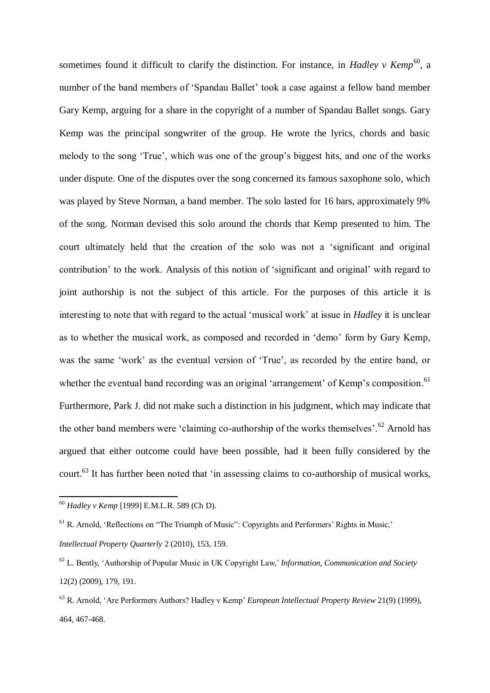sometimes found it difficult to clarify the distinction. For instance, in *Hadley v Kemp*<sup>60</sup>, a number of the band members of "Spandau Ballet" took a case against a fellow band member Gary Kemp, arguing for a share in the copyright of a number of Spandau Ballet songs. Gary Kemp was the principal songwriter of the group. He wrote the lyrics, chords and basic melody to the song "True", which was one of the group"s biggest hits, and one of the works under dispute. One of the disputes over the song concerned its famous saxophone solo, which was played by Steve Norman, a band member. The solo lasted for 16 bars, approximately 9% of the song. Norman devised this solo around the chords that Kemp presented to him. The court ultimately held that the creation of the solo was not a "significant and original contribution" to the work. Analysis of this notion of "significant and original" with regard to joint authorship is not the subject of this article. For the purposes of this article it is interesting to note that with regard to the actual "musical work" at issue in *Hadley* it is unclear as to whether the musical work, as composed and recorded in "demo" form by Gary Kemp, was the same 'work' as the eventual version of 'True', as recorded by the entire band, or whether the eventual band recording was an original 'arrangement' of Kemp's composition.<sup>61</sup> Furthermore, Park J. did not make such a distinction in his judgment, which may indicate that the other band members were 'claiming co-authorship of the works themselves'.<sup>62</sup> Arnold has argued that either outcome could have been possible, had it been fully considered by the court.<sup>63</sup> It has further been noted that 'in assessing claims to co-authorship of musical works,

**<sup>.</sup>** <sup>60</sup> *Hadley v Kemp* [1999] E.M.L.R. 589 (Ch D).

 $<sup>61</sup>$  R. Arnold, 'Reflections on "The Triumph of Music": Copyrights and Performers' Rights in Music,'</sup> *Intellectual Property Quarterly* 2 (2010), 153, 159.

<sup>62</sup> L. Bently, "Authorship of Popular Music in UK Copyright Law," *Information, Communication and Society* 12(2) (2009), 179, 191.

<sup>63</sup> R. Arnold, "Are Performers Authors? Hadley v Kemp" *European Intellectual Property Review* 21(9) (1999), 464, 467-468.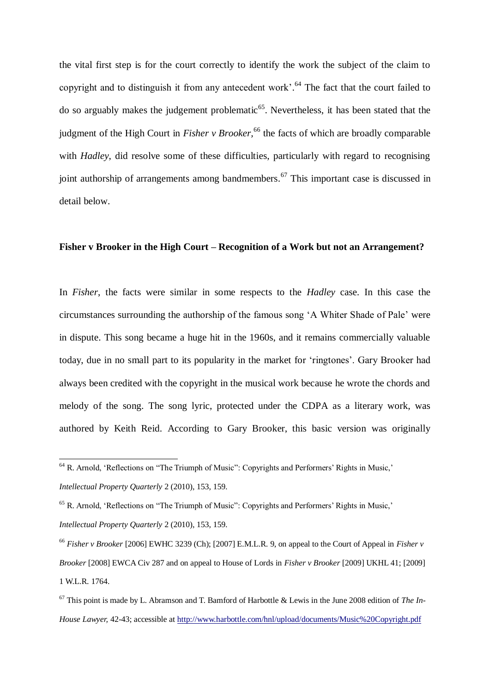the vital first step is for the court correctly to identify the work the subject of the claim to copyright and to distinguish it from any antecedent work'.<sup>64</sup> The fact that the court failed to do so arguably makes the judgement problematic<sup>65</sup>. Nevertheless, it has been stated that the judgment of the High Court in *Fisher v Brooker,* <sup>66</sup> the facts of which are broadly comparable with *Hadley*, did resolve some of these difficulties, particularly with regard to recognising joint authorship of arrangements among bandmembers.<sup>67</sup> This important case is discussed in detail below.

#### **Fisher v Brooker in the High Court – Recognition of a Work but not an Arrangement?**

In *Fisher*, the facts were similar in some respects to the *Hadley* case. In this case the circumstances surrounding the authorship of the famous song "A Whiter Shade of Pale" were in dispute. This song became a huge hit in the 1960s, and it remains commercially valuable today, due in no small part to its popularity in the market for "ringtones". Gary Brooker had always been credited with the copyright in the musical work because he wrote the chords and melody of the song. The song lyric, protected under the CDPA as a literary work, was authored by Keith Reid. According to Gary Brooker, this basic version was originally

-

<sup>&</sup>lt;sup>64</sup> R. Arnold, 'Reflections on "The Triumph of Music": Copyrights and Performers' Rights in Music,' *Intellectual Property Quarterly* 2 (2010), 153, 159.

 $<sup>65</sup>$  R. Arnold, 'Reflections on "The Triumph of Music": Copyrights and Performers' Rights in Music,'</sup>

*Intellectual Property Quarterly* 2 (2010), 153, 159.

<sup>66</sup> *Fisher v Brooker* [2006] EWHC 3239 (Ch); [2007] E.M.L.R. 9, on appeal to the Court of Appeal in *Fisher v Brooker* [2008] EWCA Civ 287 and on appeal to House of Lords in *Fisher v Brooker* [2009] UKHL 41; [2009] 1 W.L.R. 1764.

<sup>67</sup> This point is made by L. Abramson and T. Bamford of Harbottle & Lewis in the June 2008 edition of *The In-House Lawyer,* 42-43; accessible at<http://www.harbottle.com/hnl/upload/documents/Music%20Copyright.pdf>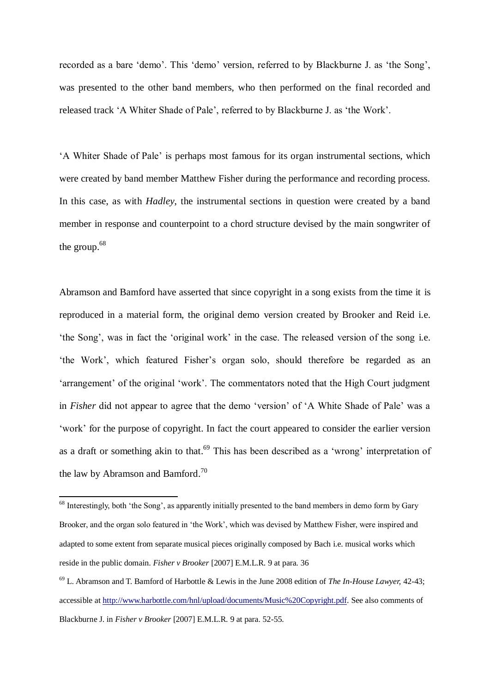recorded as a bare 'demo'. This 'demo' version, referred to by Blackburne J. as 'the Song', was presented to the other band members, who then performed on the final recorded and released track "A Whiter Shade of Pale", referred to by Blackburne J. as "the Work".

"A Whiter Shade of Pale" is perhaps most famous for its organ instrumental sections, which were created by band member Matthew Fisher during the performance and recording process. In this case, as with *Hadley*, the instrumental sections in question were created by a band member in response and counterpoint to a chord structure devised by the main songwriter of the group. 68

Abramson and Bamford have asserted that since copyright in a song exists from the time it is reproduced in a material form, the original demo version created by Brooker and Reid i.e. "the Song", was in fact the "original work" in the case. The released version of the song i.e. "the Work", which featured Fisher"s organ solo, should therefore be regarded as an 'arrangement' of the original 'work'. The commentators noted that the High Court judgment in *Fisher* did not appear to agree that the demo 'version' of 'A White Shade of Pale' was a 'work' for the purpose of copyright. In fact the court appeared to consider the earlier version as a draft or something akin to that.<sup>69</sup> This has been described as a 'wrong' interpretation of the law by Abramson and Bamford.<sup>70</sup>

**.** 

<sup>&</sup>lt;sup>68</sup> Interestingly, both 'the Song', as apparently initially presented to the band members in demo form by Gary Brooker, and the organ solo featured in "the Work", which was devised by Matthew Fisher, were inspired and adapted to some extent from separate musical pieces originally composed by Bach i.e. musical works which reside in the public domain. *Fisher v Brooker* [2007] E.M.L.R. 9 at para. 36

<sup>69</sup> L. Abramson and T. Bamford of Harbottle & Lewis in the June 2008 edition of *The In-House Lawyer,* 42-43; accessible a[t http://www.harbottle.com/hnl/upload/documents/Music%20Copyright.pdf.](http://www.harbottle.com/hnl/upload/documents/Music%20Copyright.pdf) See also comments of Blackburne J. in *Fisher v Brooker* [2007] E.M.L.R. 9 at para. 52-55.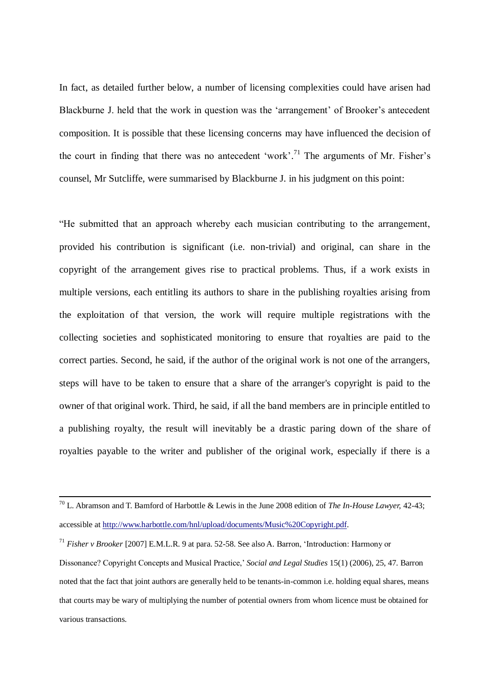In fact, as detailed further below, a number of licensing complexities could have arisen had Blackburne J. held that the work in question was the 'arrangement' of Brooker's antecedent composition. It is possible that these licensing concerns may have influenced the decision of the court in finding that there was no antecedent 'work'.<sup>71</sup> The arguments of Mr. Fisher's counsel, Mr Sutcliffe, were summarised by Blackburne J. in his judgment on this point:

"He submitted that an approach whereby each musician contributing to the arrangement, provided his contribution is significant (i.e. non-trivial) and original, can share in the copyright of the arrangement gives rise to practical problems. Thus, if a work exists in multiple versions, each entitling its authors to share in the publishing royalties arising from the exploitation of that version, the work will require multiple registrations with the collecting societies and sophisticated monitoring to ensure that royalties are paid to the correct parties. Second, he said, if the author of the original work is not one of the arrangers, steps will have to be taken to ensure that a share of the arranger's copyright is paid to the owner of that original work. Third, he said, if all the band members are in principle entitled to a publishing royalty, the result will inevitably be a drastic paring down of the share of royalties payable to the writer and publisher of the original work, especially if there is a

**.** 

<sup>70</sup> L. Abramson and T. Bamford of Harbottle & Lewis in the June 2008 edition of *The In-House Lawyer,* 42-43; accessible a[t http://www.harbottle.com/hnl/upload/documents/Music%20Copyright.pdf.](http://www.harbottle.com/hnl/upload/documents/Music%20Copyright.pdf)

<sup>71</sup> *Fisher v Brooker* [2007] E.M.L.R. 9 at para. 52-58. See also A. Barron, "Introduction: Harmony or Dissonance? Copyright Concepts and Musical Practice," *Social and Legal Studies* 15(1) (2006), 25, 47. Barron noted that the fact that joint authors are generally held to be tenants-in-common i.e. holding equal shares, means that courts may be wary of multiplying the number of potential owners from whom licence must be obtained for various transactions.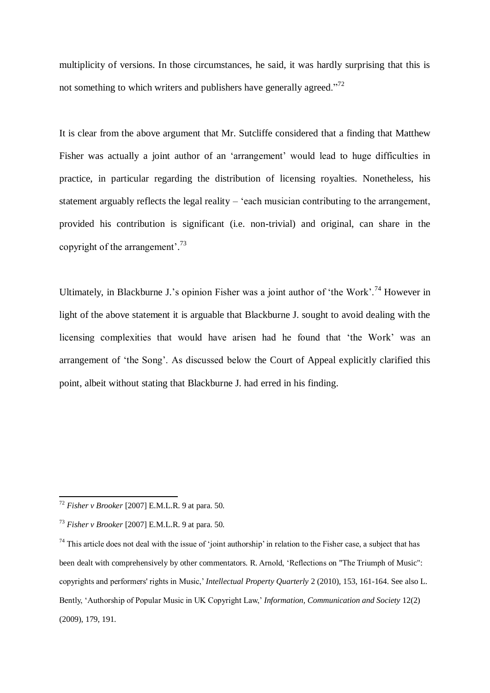multiplicity of versions. In those circumstances, he said, it was hardly surprising that this is not something to which writers and publishers have generally agreed."<sup>72</sup>

It is clear from the above argument that Mr. Sutcliffe considered that a finding that Matthew Fisher was actually a joint author of an 'arrangement' would lead to huge difficulties in practice, in particular regarding the distribution of licensing royalties. Nonetheless, his statement arguably reflects the legal reality – "each musician contributing to the arrangement, provided his contribution is significant (i.e. non-trivial) and original, can share in the copyright of the arrangement'. $^{73}$ 

Ultimately, in Blackburne J.'s opinion Fisher was a joint author of 'the Work'.<sup>74</sup> However in light of the above statement it is arguable that Blackburne J. sought to avoid dealing with the licensing complexities that would have arisen had he found that "the Work" was an arrangement of "the Song". As discussed below the Court of Appeal explicitly clarified this point, albeit without stating that Blackburne J. had erred in his finding.

**.** 

<sup>72</sup> *Fisher v Brooker* [2007] E.M.L.R. 9 at para. 50.

<sup>73</sup> *Fisher v Brooker* [2007] E.M.L.R. 9 at para. 50.

 $74$  This article does not deal with the issue of 'joint authorship' in relation to the Fisher case, a subject that has been dealt with comprehensively by other commentators. R. Arnold, "Reflections on "The Triumph of Music": copyrights and performers' rights in Music," *Intellectual Property Quarterly* 2 (2010), 153, 161-164. See also L. Bently, "Authorship of Popular Music in UK Copyright Law," *Information, Communication and Society* 12(2) (2009), 179, 191.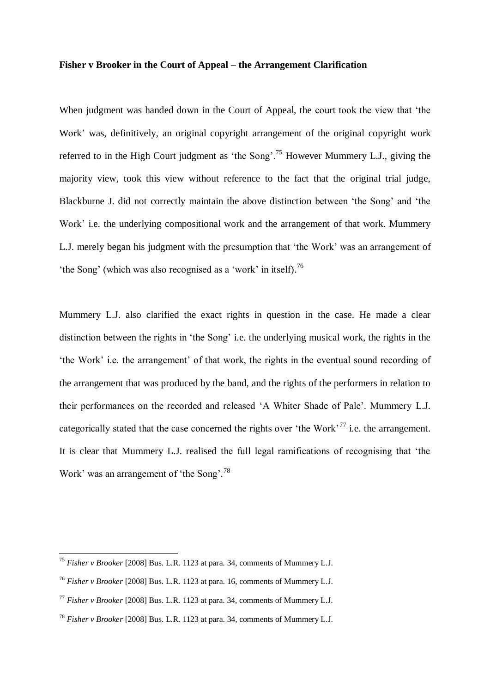#### **Fisher v Brooker in the Court of Appeal – the Arrangement Clarification**

When judgment was handed down in the Court of Appeal, the court took the view that "the Work' was, definitively, an original copyright arrangement of the original copyright work referred to in the High Court judgment as 'the Song'.<sup>75</sup> However Mummery L.J., giving the majority view, took this view without reference to the fact that the original trial judge, Blackburne J. did not correctly maintain the above distinction between "the Song" and "the Work' i.e. the underlying compositional work and the arrangement of that work. Mummery L.J. merely began his judgment with the presumption that "the Work" was an arrangement of 'the Song' (which was also recognised as a 'work' in itself).<sup>76</sup>

Mummery L.J. also clarified the exact rights in question in the case. He made a clear distinction between the rights in "the Song" i.e. the underlying musical work, the rights in the "the Work" i.e. the arrangement" of that work, the rights in the eventual sound recording of the arrangement that was produced by the band, and the rights of the performers in relation to their performances on the recorded and released "A Whiter Shade of Pale". Mummery L.J. categorically stated that the case concerned the rights over 'the Work'<sup>77</sup> i.e. the arrangement. It is clear that Mummery L.J. realised the full legal ramifications of recognising that "the Work' was an arrangement of 'the Song'.<sup>78</sup>

<sup>1</sup> <sup>75</sup> *Fisher v Brooker* [2008] Bus. L.R. 1123 at para. 34, comments of Mummery L.J.

<sup>76</sup> *Fisher v Brooker* [2008] Bus. L.R. 1123 at para. 16, comments of Mummery L.J.

<sup>77</sup> *Fisher v Brooker* [2008] Bus. L.R. 1123 at para. 34, comments of Mummery L.J.

<sup>78</sup> *Fisher v Brooker* [2008] Bus. L.R. 1123 at para. 34, comments of Mummery L.J.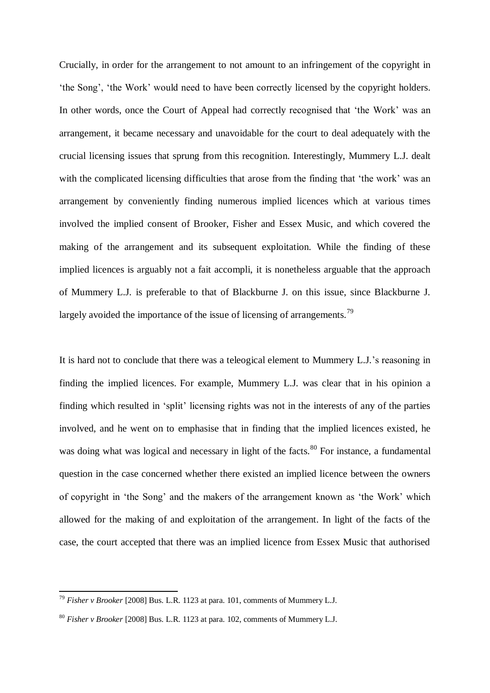Crucially, in order for the arrangement to not amount to an infringement of the copyright in "the Song", "the Work" would need to have been correctly licensed by the copyright holders. In other words, once the Court of Appeal had correctly recognised that "the Work" was an arrangement, it became necessary and unavoidable for the court to deal adequately with the crucial licensing issues that sprung from this recognition. Interestingly, Mummery L.J. dealt with the complicated licensing difficulties that arose from the finding that 'the work' was an arrangement by conveniently finding numerous implied licences which at various times involved the implied consent of Brooker, Fisher and Essex Music, and which covered the making of the arrangement and its subsequent exploitation. While the finding of these implied licences is arguably not a fait accompli, it is nonetheless arguable that the approach of Mummery L.J. is preferable to that of Blackburne J. on this issue, since Blackburne J. largely avoided the importance of the issue of licensing of arrangements.<sup>79</sup>

It is hard not to conclude that there was a teleogical element to Mummery L.J."s reasoning in finding the implied licences. For example, Mummery L.J. was clear that in his opinion a finding which resulted in "split" licensing rights was not in the interests of any of the parties involved, and he went on to emphasise that in finding that the implied licences existed, he was doing what was logical and necessary in light of the facts.<sup>80</sup> For instance, a fundamental question in the case concerned whether there existed an implied licence between the owners of copyright in "the Song" and the makers of the arrangement known as "the Work" which allowed for the making of and exploitation of the arrangement. In light of the facts of the case, the court accepted that there was an implied licence from Essex Music that authorised

-

<sup>79</sup> *Fisher v Brooker* [2008] Bus. L.R. 1123 at para. 101, comments of Mummery L.J.

<sup>80</sup> *Fisher v Brooker* [2008] Bus. L.R. 1123 at para. 102, comments of Mummery L.J.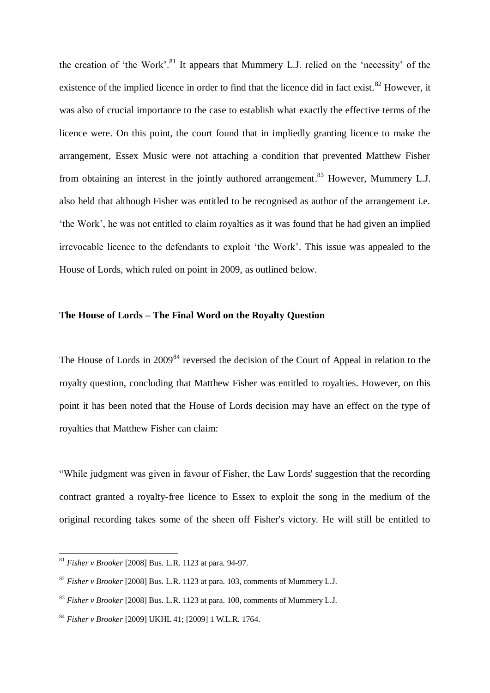the creation of 'the Work'.<sup>81</sup> It appears that Mummery L.J. relied on the 'necessity' of the existence of the implied licence in order to find that the licence did in fact exist.<sup>82</sup> However, it was also of crucial importance to the case to establish what exactly the effective terms of the licence were. On this point, the court found that in impliedly granting licence to make the arrangement, Essex Music were not attaching a condition that prevented Matthew Fisher from obtaining an interest in the jointly authored arrangement.<sup>83</sup> However, Mummery L.J. also held that although Fisher was entitled to be recognised as author of the arrangement i.e. "the Work", he was not entitled to claim royalties as it was found that he had given an implied irrevocable licence to the defendants to exploit "the Work". This issue was appealed to the House of Lords, which ruled on point in 2009, as outlined below.

### **The House of Lords – The Final Word on the Royalty Question**

The House of Lords in 2009<sup>84</sup> reversed the decision of the Court of Appeal in relation to the royalty question, concluding that Matthew Fisher was entitled to royalties. However, on this point it has been noted that the House of Lords decision may have an effect on the type of royalties that Matthew Fisher can claim:

"While judgment was given in favour of Fisher, the Law Lords' suggestion that the recording contract granted a royalty-free licence to Essex to exploit the song in the medium of the original recording takes some of the sheen off Fisher's victory. He will still be entitled to

1

<sup>81</sup> *Fisher v Brooker* [2008] Bus. L.R. 1123 at para. 94-97.

<sup>82</sup> *Fisher v Brooker* [2008] Bus. L.R. 1123 at para. 103, comments of Mummery L.J.

<sup>83</sup> *Fisher v Brooker* [2008] Bus. L.R. 1123 at para. 100, comments of Mummery L.J.

<sup>84</sup> *Fisher v Brooker* [2009] UKHL 41; [2009] 1 W.L.R. 1764.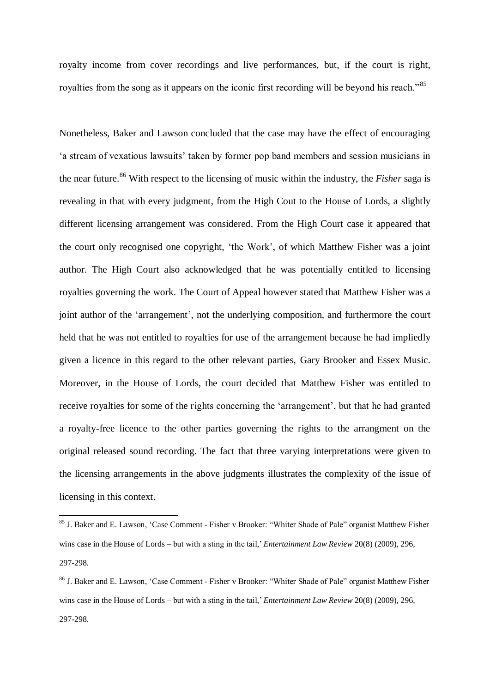royalty income from cover recordings and live performances, but, if the court is right, royalties from the song as it appears on the iconic first recording will be beyond his reach."<sup>85</sup>

Nonetheless, Baker and Lawson concluded that the case may have the effect of encouraging 'a stream of vexatious lawsuits' taken by former pop band members and session musicians in the near future. <sup>86</sup> With respect to the licensing of music within the industry, the *Fisher* saga is revealing in that with every judgment, from the High Cout to the House of Lords, a slightly different licensing arrangement was considered. From the High Court case it appeared that the court only recognised one copyright, "the Work", of which Matthew Fisher was a joint author. The High Court also acknowledged that he was potentially entitled to licensing royalties governing the work. The Court of Appeal however stated that Matthew Fisher was a joint author of the 'arrangement', not the underlying composition, and furthermore the court held that he was not entitled to royalties for use of the arrangement because he had impliedly given a licence in this regard to the other relevant parties, Gary Brooker and Essex Music. Moreover, in the House of Lords, the court decided that Matthew Fisher was entitled to receive royalties for some of the rights concerning the "arrangement", but that he had granted a royalty-free licence to the other parties governing the rights to the arrangment on the original released sound recording. The fact that three varying interpretations were given to the licensing arrangements in the above judgments illustrates the complexity of the issue of licensing in this context.

1

<sup>&</sup>lt;sup>85</sup> J. Baker and E. Lawson, 'Case Comment - Fisher v Brooker: "Whiter Shade of Pale" organist Matthew Fisher wins case in the House of Lords – but with a sting in the tail,' *Entertainment Law Review* 20(8) (2009), 296, 297-298.

<sup>86</sup> J. Baker and E. Lawson, "Case Comment - Fisher v Brooker: "Whiter Shade of Pale" organist Matthew Fisher wins case in the House of Lords – but with a sting in the tail,' *Entertainment Law Review* 20(8) (2009), 296, 297-298.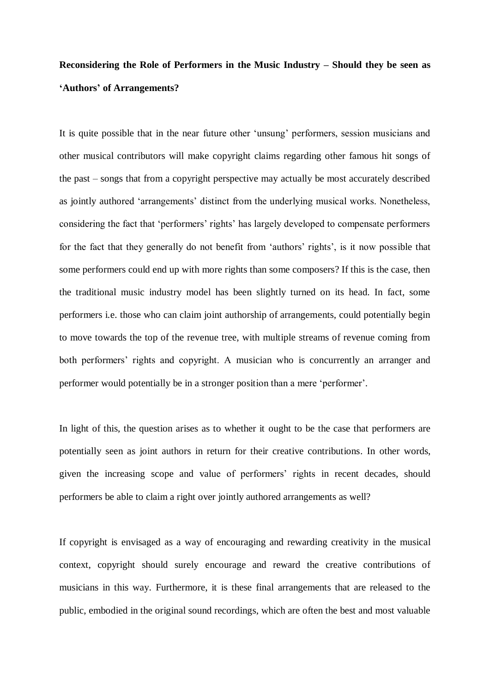### **Reconsidering the Role of Performers in the Music Industry – Should they be seen as 'Authors' of Arrangements?**

It is quite possible that in the near future other "unsung" performers, session musicians and other musical contributors will make copyright claims regarding other famous hit songs of the past – songs that from a copyright perspective may actually be most accurately described as jointly authored "arrangements" distinct from the underlying musical works. Nonetheless, considering the fact that 'performers' rights' has largely developed to compensate performers for the fact that they generally do not benefit from 'authors' rights', is it now possible that some performers could end up with more rights than some composers? If this is the case, then the traditional music industry model has been slightly turned on its head. In fact, some performers i.e. those who can claim joint authorship of arrangements, could potentially begin to move towards the top of the revenue tree, with multiple streams of revenue coming from both performers' rights and copyright. A musician who is concurrently an arranger and performer would potentially be in a stronger position than a mere "performer".

In light of this, the question arises as to whether it ought to be the case that performers are potentially seen as joint authors in return for their creative contributions. In other words, given the increasing scope and value of performers' rights in recent decades, should performers be able to claim a right over jointly authored arrangements as well?

If copyright is envisaged as a way of encouraging and rewarding creativity in the musical context, copyright should surely encourage and reward the creative contributions of musicians in this way. Furthermore, it is these final arrangements that are released to the public, embodied in the original sound recordings, which are often the best and most valuable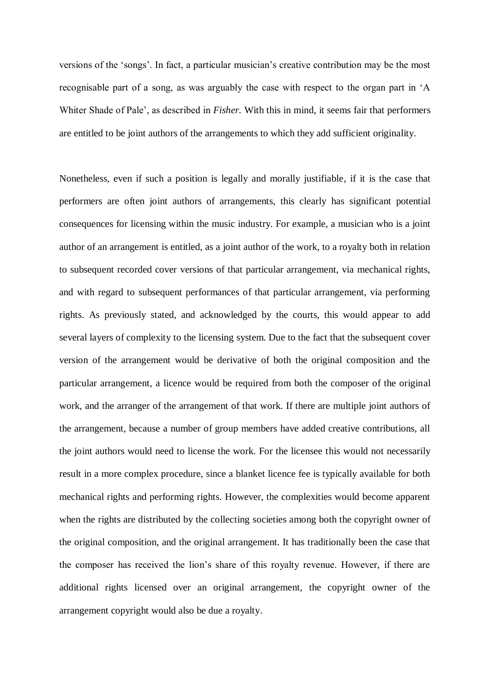versions of the "songs". In fact, a particular musician"s creative contribution may be the most recognisable part of a song, as was arguably the case with respect to the organ part in "A Whiter Shade of Pale', as described in *Fisher*. With this in mind, it seems fair that performers are entitled to be joint authors of the arrangements to which they add sufficient originality.

Nonetheless, even if such a position is legally and morally justifiable, if it is the case that performers are often joint authors of arrangements, this clearly has significant potential consequences for licensing within the music industry. For example, a musician who is a joint author of an arrangement is entitled, as a joint author of the work, to a royalty both in relation to subsequent recorded cover versions of that particular arrangement, via mechanical rights, and with regard to subsequent performances of that particular arrangement, via performing rights. As previously stated, and acknowledged by the courts, this would appear to add several layers of complexity to the licensing system. Due to the fact that the subsequent cover version of the arrangement would be derivative of both the original composition and the particular arrangement, a licence would be required from both the composer of the original work, and the arranger of the arrangement of that work. If there are multiple joint authors of the arrangement, because a number of group members have added creative contributions, all the joint authors would need to license the work. For the licensee this would not necessarily result in a more complex procedure, since a blanket licence fee is typically available for both mechanical rights and performing rights. However, the complexities would become apparent when the rights are distributed by the collecting societies among both the copyright owner of the original composition, and the original arrangement. It has traditionally been the case that the composer has received the lion"s share of this royalty revenue. However, if there are additional rights licensed over an original arrangement, the copyright owner of the arrangement copyright would also be due a royalty.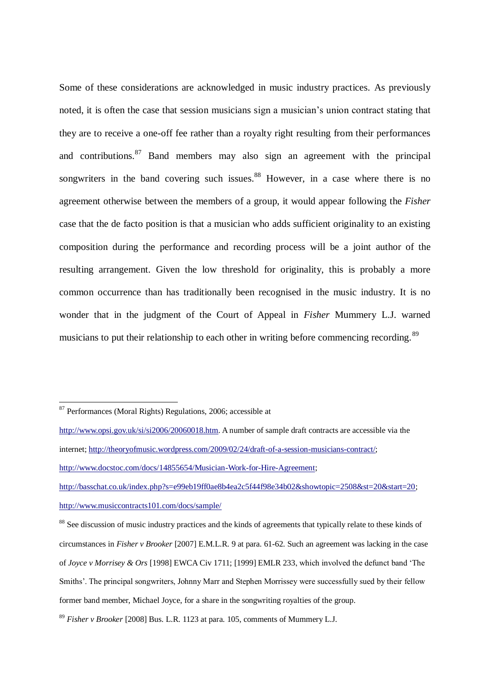Some of these considerations are acknowledged in music industry practices. As previously noted, it is often the case that session musicians sign a musician"s union contract stating that they are to receive a one-off fee rather than a royalty right resulting from their performances and contributions. <sup>87</sup> Band members may also sign an agreement with the principal songwriters in the band covering such issues.<sup>88</sup> However, in a case where there is no agreement otherwise between the members of a group, it would appear following the *Fisher*  case that the de facto position is that a musician who adds sufficient originality to an existing composition during the performance and recording process will be a joint author of the resulting arrangement. Given the low threshold for originality, this is probably a more common occurrence than has traditionally been recognised in the music industry. It is no wonder that in the judgment of the Court of Appeal in *Fisher* Mummery L.J. warned musicians to put their relationship to each other in writing before commencing recording.<sup>89</sup>

1

<sup>87</sup> Performances (Moral Rights) Regulations*,* 2006; accessible at

[http://www.opsi.gov.uk/si/si2006/20060018.htm.](http://www.opsi.gov.uk/si/si2006/20060018.htm) A number of sample draft contracts are accessible via the internet; [http://theoryofmusic.wordpress.com/2009/02/24/draft-of-a-session-musicians-contract/;](http://theoryofmusic.wordpress.com/2009/02/24/draft-of-a-session-musicians-contract/) [http://www.docstoc.com/docs/14855654/Musician-Work-for-Hire-Agreement;](http://www.docstoc.com/docs/14855654/Musician-Work-for-Hire-Agreement) [http://basschat.co.uk/index.php?s=e99eb19ff0ae8b4ea2c5f44f98e34b02&showtopic=2508&st=20&start=20;](http://basschat.co.uk/index.php?s=e99eb19ff0ae8b4ea2c5f44f98e34b02&showtopic=2508&st=20&start=20)

<http://www.musiccontracts101.com/docs/sample/>

<sup>&</sup>lt;sup>88</sup> See discussion of music industry practices and the kinds of agreements that typically relate to these kinds of circumstances in *Fisher v Brooker* [2007] E.M.L.R. 9 at para. 61-62. Such an agreement was lacking in the case of *Joyce v Morrisey & Ors* [1998] EWCA Civ 1711; [1999] EMLR 233, which involved the defunct band "The Smiths". The principal songwriters, Johnny Marr and Stephen Morrissey were successfully sued by their fellow former band member, Michael Joyce, for a share in the songwriting royalties of the group.

<sup>89</sup> *Fisher v Brooker* [2008] Bus. L.R. 1123 at para. 105, comments of Mummery L.J.